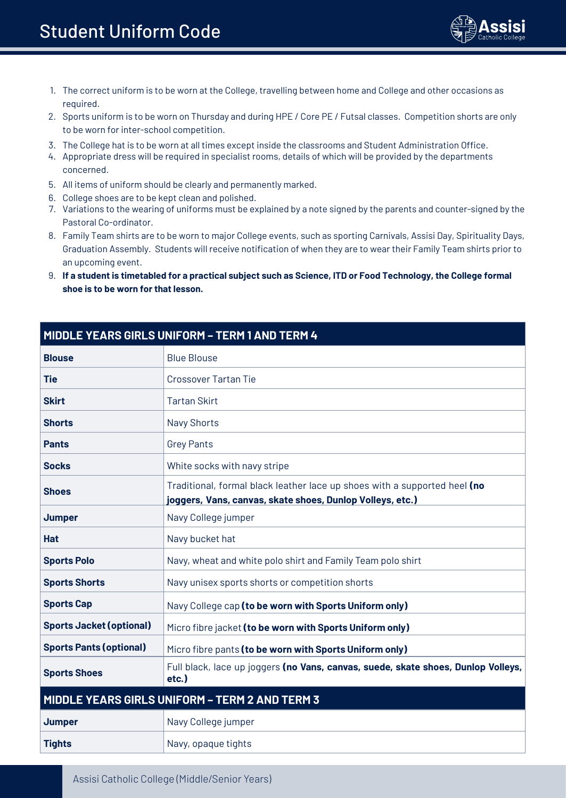

- 1. The correct uniform is to be worn at the College, travelling between home and College and other occasions as required.
- 2. Sports uniform is to be worn on Thursday and during HPE / Core PE / Futsal classes. Competition shorts are only to be worn for inter-school competition.
- 3. The College hat is to be worn at all times except inside the classrooms and Student Administration Office.
- 4. Appropriate dress will be required in specialist rooms, details of which will be provided by the departments concerned.
- 5. All items of uniform should be clearly and permanently marked.
- 6. College shoes are to be kept clean and polished.
- 7. Variations to the wearing of uniforms must be explained by a note signed by the parents and counter-signed by the Pastoral Co-ordinator.
- 8. Family Team shirts are to be worn to major College events, such as sporting Carnivals, Assisi Day, Spirituality Days, Graduation Assembly. Students will receive notification of when they are to wear their Family Team shirts prior to an upcoming event.
- 9. **If a student is timetabled for a practical subject such as Science, ITD or Food Technology, the College formal shoe is to be worn for that lesson.**

| MIDDLE YEARS GIRLS UNIFORM - TERM 1 AND TERM 4 |                                                                                                                                        |  |
|------------------------------------------------|----------------------------------------------------------------------------------------------------------------------------------------|--|
| <b>Blouse</b>                                  | <b>Blue Blouse</b>                                                                                                                     |  |
| <b>Tie</b>                                     | Crossover Tartan Tie                                                                                                                   |  |
| <b>Skirt</b>                                   | <b>Tartan Skirt</b>                                                                                                                    |  |
| <b>Shorts</b>                                  | <b>Navy Shorts</b>                                                                                                                     |  |
| <b>Pants</b>                                   | <b>Grey Pants</b>                                                                                                                      |  |
| <b>Socks</b>                                   | White socks with navy stripe                                                                                                           |  |
| <b>Shoes</b>                                   | Traditional, formal black leather lace up shoes with a supported heel (no<br>joggers, Vans, canvas, skate shoes, Dunlop Volleys, etc.) |  |
| Jumper                                         | Navy College jumper                                                                                                                    |  |
| <b>Hat</b>                                     | Navy bucket hat                                                                                                                        |  |
| <b>Sports Polo</b>                             | Navy, wheat and white polo shirt and Family Team polo shirt                                                                            |  |
| <b>Sports Shorts</b>                           | Navy unisex sports shorts or competition shorts                                                                                        |  |
| <b>Sports Cap</b>                              | Navy College cap (to be worn with Sports Uniform only)                                                                                 |  |
| <b>Sports Jacket (optional)</b>                | Micro fibre jacket (to be worn with Sports Uniform only)                                                                               |  |
| <b>Sports Pants (optional)</b>                 | Micro fibre pants (to be worn with Sports Uniform only)                                                                                |  |
| <b>Sports Shoes</b>                            | Full black, lace up joggers (no Vans, canvas, suede, skate shoes, Dunlop Volleys,<br>etc.)                                             |  |
| MIDDLE YEARS GIRLS UNIFORM - TERM 2 AND TERM 3 |                                                                                                                                        |  |
| Jumper                                         | Navy College jumper                                                                                                                    |  |
| <b>Tights</b>                                  | Navy, opaque tights                                                                                                                    |  |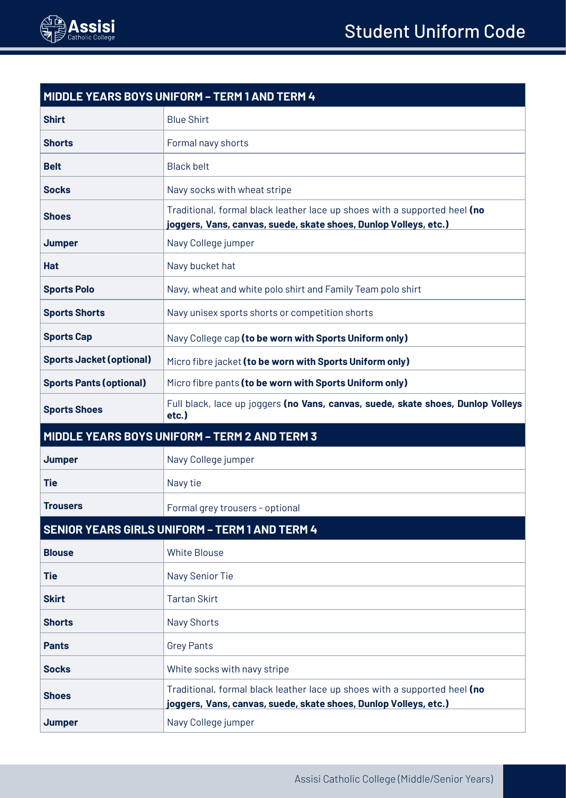

| MIDDLE YEARS BOYS UNIFORM - TERM 1 AND TERM 4         |                                                                                                                                               |  |
|-------------------------------------------------------|-----------------------------------------------------------------------------------------------------------------------------------------------|--|
| <b>Shirt</b>                                          | <b>Blue Shirt</b>                                                                                                                             |  |
| <b>Shorts</b>                                         | Formal navy shorts                                                                                                                            |  |
| <b>Belt</b>                                           | <b>Black belt</b>                                                                                                                             |  |
| <b>Socks</b>                                          | Navy socks with wheat stripe                                                                                                                  |  |
| <b>Shoes</b>                                          | Traditional, formal black leather lace up shoes with a supported heel (no<br>joggers, Vans, canvas, suede, skate shoes, Dunlop Volleys, etc.) |  |
| Jumper                                                | Navy College jumper                                                                                                                           |  |
| <b>Hat</b>                                            | Navy bucket hat                                                                                                                               |  |
| <b>Sports Polo</b>                                    | Navy, wheat and white polo shirt and Family Team polo shirt                                                                                   |  |
| <b>Sports Shorts</b>                                  | Navy unisex sports shorts or competition shorts                                                                                               |  |
| <b>Sports Cap</b>                                     | Navy College cap (to be worn with Sports Uniform only)                                                                                        |  |
| <b>Sports Jacket (optional)</b>                       | Micro fibre jacket (to be worn with Sports Uniform only)                                                                                      |  |
| <b>Sports Pants (optional)</b>                        | Micro fibre pants (to be worn with Sports Uniform only)                                                                                       |  |
| <b>Sports Shoes</b>                                   | Full black, lace up joggers (no Vans, canvas, suede, skate shoes, Dunlop Volleys<br>etc.)                                                     |  |
| MIDDLE YEARS BOYS UNIFORM - TERM 2 AND TERM 3         |                                                                                                                                               |  |
| Jumper                                                | Navy College jumper                                                                                                                           |  |
| <b>Tie</b>                                            | Navy tie                                                                                                                                      |  |
| <b>Trousers</b>                                       | Formal grey trousers - optional                                                                                                               |  |
| <b>SENIOR YEARS GIRLS UNIFORM - TERM 1 AND TERM 4</b> |                                                                                                                                               |  |
| <b>Blouse</b>                                         | <b>White Blouse</b>                                                                                                                           |  |
| Tie                                                   | Navy Senior Tie                                                                                                                               |  |
| <b>Skirt</b>                                          | <b>Tartan Skirt</b>                                                                                                                           |  |
| <b>Shorts</b>                                         | <b>Navy Shorts</b>                                                                                                                            |  |
| <b>Pants</b>                                          | <b>Grey Pants</b>                                                                                                                             |  |
| <b>Socks</b>                                          | White socks with navy stripe                                                                                                                  |  |
| <b>Shoes</b>                                          | Traditional, formal black leather lace up shoes with a supported heel (no<br>joggers, Vans, canvas, suede, skate shoes, Dunlop Volleys, etc.) |  |
| Jumper                                                | Navy College jumper                                                                                                                           |  |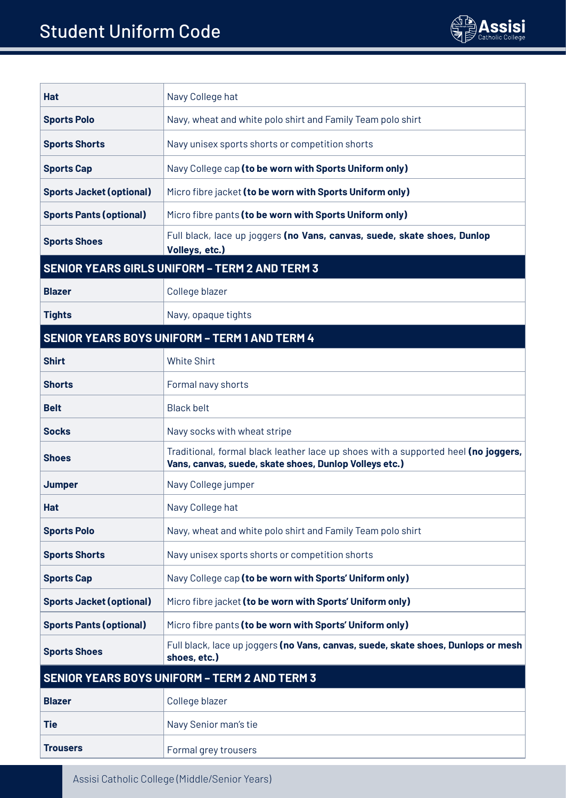

| Hat                                                   | Navy College hat                                                                                                                             |  |
|-------------------------------------------------------|----------------------------------------------------------------------------------------------------------------------------------------------|--|
| <b>Sports Polo</b>                                    | Navy, wheat and white polo shirt and Family Team polo shirt                                                                                  |  |
| Sports Shorts                                         | Navy unisex sports shorts or competition shorts                                                                                              |  |
| <b>Sports Cap</b>                                     | Navy College cap (to be worn with Sports Uniform only)                                                                                       |  |
| <b>Sports Jacket (optional)</b>                       | Micro fibre jacket (to be worn with Sports Uniform only)                                                                                     |  |
| <b>Sports Pants (optional)</b>                        | Micro fibre pants (to be worn with Sports Uniform only)                                                                                      |  |
| <b>Sports Shoes</b>                                   | Full black, lace up joggers (no Vans, canvas, suede, skate shoes, Dunlop<br>Volleys, etc.)                                                   |  |
| <b>SENIOR YEARS GIRLS UNIFORM - TERM 2 AND TERM 3</b> |                                                                                                                                              |  |
| <b>Blazer</b>                                         | College blazer                                                                                                                               |  |
| <b>Tights</b>                                         | Navy, opaque tights                                                                                                                          |  |
| <b>SENIOR YEARS BOYS UNIFORM - TERM 1 AND TERM 4</b>  |                                                                                                                                              |  |
| <b>Shirt</b>                                          | <b>White Shirt</b>                                                                                                                           |  |
| <b>Shorts</b>                                         | Formal navy shorts                                                                                                                           |  |
| <b>Belt</b>                                           | <b>Black belt</b>                                                                                                                            |  |
| Socks                                                 | Navy socks with wheat stripe                                                                                                                 |  |
| Shoes                                                 | Traditional, formal black leather lace up shoes with a supported heel (no joggers,<br>Vans, canvas, suede, skate shoes, Dunlop Volleys etc.) |  |
| <b>Jumper</b>                                         | Navy College jumper                                                                                                                          |  |
| Hat                                                   | Navy College hat                                                                                                                             |  |
| <b>Sports Polo</b>                                    | Navy, wheat and white polo shirt and Family Team polo shirt                                                                                  |  |
| <b>Sports Shorts</b>                                  | Navy unisex sports shorts or competition shorts                                                                                              |  |
| Sports Cap                                            | Navy College cap (to be worn with Sports' Uniform only)                                                                                      |  |
| <b>Sports Jacket (optional)</b>                       | Micro fibre jacket (to be worn with Sports' Uniform only)                                                                                    |  |
| <b>Sports Pants (optional)</b>                        | Micro fibre pants (to be worn with Sports' Uniform only)                                                                                     |  |
| <b>Sports Shoes</b>                                   | Full black, lace up joggers (no Vans, canvas, suede, skate shoes, Dunlops or mesh<br>shoes, etc.)                                            |  |
| SENIOR YEARS BOYS UNIFORM - TERM 2 AND TERM 3         |                                                                                                                                              |  |
| Blazer                                                | College blazer                                                                                                                               |  |
| Tie                                                   | Navy Senior man's tie                                                                                                                        |  |
| <b>Trousers</b>                                       | Formal grey trousers                                                                                                                         |  |